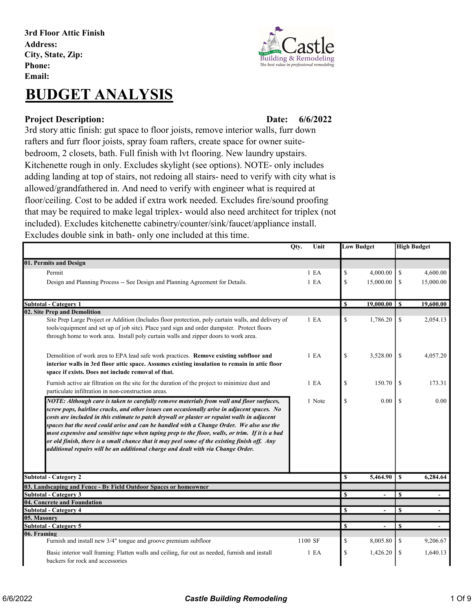3rd Floor Attic Finish Address: City, State, Zip: Phone: Email:

# BUDGET ANALYSIS

#### Project Description: Date:

Building & Remodeling The best value in professional remod

## 6/6/2022

3rd story attic finish: gut space to floor joists, remove interior walls, furr down rafters and furr floor joists, spray foam rafters, create space for owner suitebedroom, 2 closets, bath. Full finish with lvt flooring. New laundry upstairs. Kitchenette rough in only. Excludes skylight (see options). NOTE- only includes adding landing at top of stairs, not redoing all stairs- need to verify with city what is allowed/grandfathered in. And need to verify with engineer what is required at floor/ceiling. Cost to be added if extra work needed. Excludes fire/sound proofing that may be required to make legal triplex- would also need architect for triplex (not included). Excludes kitchenette cabinetry/counter/sink/faucet/appliance install. Excludes double sink in bath- only one included at this time.

|                                                                                                                                                                                                                                                                                                                                                                                                                                                                                                                                                                                                                                                                           | Qty.<br>Unit     |               | <b>Low Budget</b>        |               | <b>High Budget</b> |
|---------------------------------------------------------------------------------------------------------------------------------------------------------------------------------------------------------------------------------------------------------------------------------------------------------------------------------------------------------------------------------------------------------------------------------------------------------------------------------------------------------------------------------------------------------------------------------------------------------------------------------------------------------------------------|------------------|---------------|--------------------------|---------------|--------------------|
| 01. Permits and Design                                                                                                                                                                                                                                                                                                                                                                                                                                                                                                                                                                                                                                                    |                  |               |                          |               |                    |
| Permit                                                                                                                                                                                                                                                                                                                                                                                                                                                                                                                                                                                                                                                                    | 1 E <sub>A</sub> | $\mathbb{S}$  | 4,000.00                 | \$            | 4,600.00           |
| Design and Planning Process -- See Design and Planning Agreement for Details.                                                                                                                                                                                                                                                                                                                                                                                                                                                                                                                                                                                             | 1 E <sub>A</sub> | $\mathbb{S}$  | 15,000.00                | \$            | 15,000.00          |
|                                                                                                                                                                                                                                                                                                                                                                                                                                                                                                                                                                                                                                                                           |                  |               |                          |               |                    |
| Subtotal - Category 1                                                                                                                                                                                                                                                                                                                                                                                                                                                                                                                                                                                                                                                     |                  | $\mathbf{s}$  | $19,000.00$ S            |               | 19,600.00          |
| 02. Site Prep and Demolition<br>Site Prep Large Project or Addition (Includes floor protection, poly curtain walls, and delivery of<br>tools/equipment and set up of job site). Place yard sign and order dumpster. Protect floors<br>through home to work area. Install poly curtain walls and zipper doors to work area.                                                                                                                                                                                                                                                                                                                                                | 1 E <sub>A</sub> | \$            | 1,786.20                 | \$            | 2,054.13           |
| Demolition of work area to EPA lead safe work practices. Remove existing subfloor and<br>interior walls in 3rd floor attic space. Assumes existing insulation to remain in attic floor<br>space if exists. Does not include removal of that.                                                                                                                                                                                                                                                                                                                                                                                                                              | 1 E <sub>A</sub> | \$            | 3,528.00                 | <sup>\$</sup> | 4,057.20           |
| Furnish active air filtration on the site for the duration of the project to minimize dust and<br>particulate infiltration in non-construction areas.                                                                                                                                                                                                                                                                                                                                                                                                                                                                                                                     | 1 E <sub>A</sub> | \$            | 150.70                   | <sup>\$</sup> | 173.31             |
| NOTE: Although care is taken to carefully remove materials from wall and floor surfaces,<br>screw pops, hairline cracks, and other issues can occasionally arise in adjacent spaces. No<br>costs are included in this estimate to patch drywall or plaster or repaint walls in adjacent<br>spaces but the need could arise and can be handled with a Change Order. We also use the<br>most expensive and sensitive tape when taping prep to the floor, walls, or trim. If it is a bad<br>or old finish, there is a small chance that it may peel some of the existing finish off. Any<br>additional repairs will be an additional charge and dealt with via Change Order. | 1 Note           | \$            | 0.00                     | \$            | 0.00               |
| <b>Subtotal - Category 2</b>                                                                                                                                                                                                                                                                                                                                                                                                                                                                                                                                                                                                                                              |                  | S             | 5,464.90                 | <sup>\$</sup> | 6,284.64           |
| 03. Landscaping and Fence - By Field Outdoor Spaces or homeowner                                                                                                                                                                                                                                                                                                                                                                                                                                                                                                                                                                                                          |                  |               |                          |               |                    |
| <b>Subtotal - Category 3</b>                                                                                                                                                                                                                                                                                                                                                                                                                                                                                                                                                                                                                                              |                  | <sup>\$</sup> | $\overline{\phantom{a}}$ | S             | $\blacksquare$     |
| 04. Concrete and Foundation                                                                                                                                                                                                                                                                                                                                                                                                                                                                                                                                                                                                                                               |                  |               |                          |               |                    |
| <b>Subtotal - Category 4</b>                                                                                                                                                                                                                                                                                                                                                                                                                                                                                                                                                                                                                                              |                  | S             | ٠                        | £.            |                    |
| 05. Masonry                                                                                                                                                                                                                                                                                                                                                                                                                                                                                                                                                                                                                                                               |                  |               |                          |               |                    |
| <b>Subtotal - Category 5</b>                                                                                                                                                                                                                                                                                                                                                                                                                                                                                                                                                                                                                                              |                  | <b>S</b>      | $\overline{\phantom{a}}$ | <sup>\$</sup> | $\blacksquare$     |
| 06. Framing<br>Furnish and install new 3/4" tongue and groove premium subfloor                                                                                                                                                                                                                                                                                                                                                                                                                                                                                                                                                                                            | 1100 SF          | \$            | 8,005.80                 | \$            | 9,206.67           |
| Basic interior wall framing: Flatten walls and ceiling, fur out as needed, furnish and install<br>backers for rock and accessories                                                                                                                                                                                                                                                                                                                                                                                                                                                                                                                                        | 1 E <sub>A</sub> | \$            | 1,426.20                 | \$            | 1,640.13           |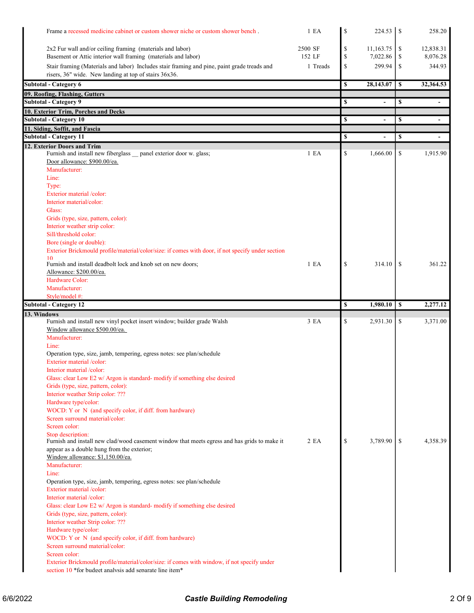| Frame a recessed medicine cabinet or custom shower niche or custom shower bench.                                                                     | 1 E A            | \$            | $224.53$   \$  | 258.20                         |
|------------------------------------------------------------------------------------------------------------------------------------------------------|------------------|---------------|----------------|--------------------------------|
| 2x2 Fur wall and/or ceiling framing (materials and labor)                                                                                            | 2500 SF          | $\mathbb{S}$  | 11,163.75      | \$<br>12,838.31                |
| Basement or Attic interior wall framing (materials and labor)                                                                                        | 152 LF           | \$            | 7,022.86       | \$<br>8,076.28                 |
| Stair framing (Materials and labor) Includes stair framing and pine, paint grade treads and<br>risers, 36" wide. New landing at top of stairs 36x36. | 1 Treads         | \$            | 299.94         | \$<br>344.93                   |
| Subtotal - Category 6                                                                                                                                |                  | \$            | 28,143.07      | \$<br>32,364.53                |
| 09. Roofing, Flashing, Gutters                                                                                                                       |                  |               |                |                                |
| Subtotal - Category 9                                                                                                                                |                  | \$            | $\overline{a}$ | \$<br>$\blacksquare$           |
| 10. Exterior Trim, Porches and Decks                                                                                                                 |                  |               |                |                                |
| <b>Subtotal - Category 10</b><br>11. Siding, Soffit, and Fascia                                                                                      |                  | \$            | $\overline{a}$ | \$<br>$\overline{\phantom{a}}$ |
|                                                                                                                                                      |                  | \$            |                | \$                             |
| Subtotal - Category 11<br>12. Exterior Doors and Trim                                                                                                |                  |               |                |                                |
| Furnish and install new fiberglass _panel exterior door w. glass;<br>Door allowance: \$900.00/ea.                                                    | 1 E <sub>A</sub> | \$            | 1,666.00       | \$<br>1,915.90                 |
| Manufacturer:                                                                                                                                        |                  |               |                |                                |
| Line:                                                                                                                                                |                  |               |                |                                |
| Type:<br>Exterior material /color:                                                                                                                   |                  |               |                |                                |
| Interior material/color:                                                                                                                             |                  |               |                |                                |
| Glass:                                                                                                                                               |                  |               |                |                                |
| Grids (type, size, pattern, color):                                                                                                                  |                  |               |                |                                |
| Interior weather strip color:                                                                                                                        |                  |               |                |                                |
| Sill/threshold color:                                                                                                                                |                  |               |                |                                |
| Bore (single or double):<br>Exterior Brickmould profile/material/color/size: if comes with door, if not specify under section                        |                  |               |                |                                |
| 10<br>Furnish and install deadbolt lock and knob set on new doors;                                                                                   | 1 E <sub>A</sub> | \$            | 314.10         | \$<br>361.22                   |
| Allowance: \$200.00/ea.                                                                                                                              |                  |               |                |                                |
| Hardware Color:                                                                                                                                      |                  |               |                |                                |
| Manufacturer:                                                                                                                                        |                  |               |                |                                |
| Style/model #:                                                                                                                                       |                  | \$            |                |                                |
|                                                                                                                                                      |                  |               |                |                                |
| <b>Subtotal - Category 12</b>                                                                                                                        |                  |               | 1,980.10       | \$<br>2,277.12                 |
| 13. Windows<br>Furnish and install new vinyl pocket insert window; builder grade Walsh                                                               | 3EA              | \$            | 2,931.30       | \$<br>3,371.00                 |
| Window allowance \$500.00/ea.                                                                                                                        |                  |               |                |                                |
| Manufacturer:                                                                                                                                        |                  |               |                |                                |
| Line:                                                                                                                                                |                  |               |                |                                |
| Operation type, size, jamb, tempering, egress notes: see plan/schedule                                                                               |                  |               |                |                                |
| Exterior material /color:<br>Interior material /color:                                                                                               |                  |               |                |                                |
| Glass: clear Low E2 w/ Argon is standard- modify if something else desired                                                                           |                  |               |                |                                |
| Grids (type, size, pattern, color):                                                                                                                  |                  |               |                |                                |
| Interior weather Strip color: ???                                                                                                                    |                  |               |                |                                |
| Hardware type/color:                                                                                                                                 |                  |               |                |                                |
| WOCD: Y or N (and specify color, if diff. from hardware)<br>Screen surround material/color:                                                          |                  |               |                |                                |
| Screen color:                                                                                                                                        |                  |               |                |                                |
| Stop description:                                                                                                                                    |                  |               |                |                                |
| Furnish and install new clad/wood casement window that meets egress and has grids to make it                                                         | 2EA              | $\mathcal{S}$ | 3,789.90       | \$<br>4,358.39                 |
| appear as a double hung from the exterior;                                                                                                           |                  |               |                |                                |
| Window allowance: \$1,150.00/ea.<br>Manufacturer:                                                                                                    |                  |               |                |                                |
| Line:                                                                                                                                                |                  |               |                |                                |
| Operation type, size, jamb, tempering, egress notes: see plan/schedule                                                                               |                  |               |                |                                |
| Exterior material /color:                                                                                                                            |                  |               |                |                                |
| Interior material /color:                                                                                                                            |                  |               |                |                                |
| Glass: clear Low E2 w/ Argon is standard- modify if something else desired<br>Grids (type, size, pattern, color):                                    |                  |               |                |                                |
| Interior weather Strip color: ???                                                                                                                    |                  |               |                |                                |
| Hardware type/color:                                                                                                                                 |                  |               |                |                                |
| WOCD: Y or N (and specify color, if diff. from hardware)                                                                                             |                  |               |                |                                |
| Screen surround material/color:                                                                                                                      |                  |               |                |                                |
| Screen color:<br>Exterior Brickmould profile/material/color/size: if comes with window, if not specify under                                         |                  |               |                |                                |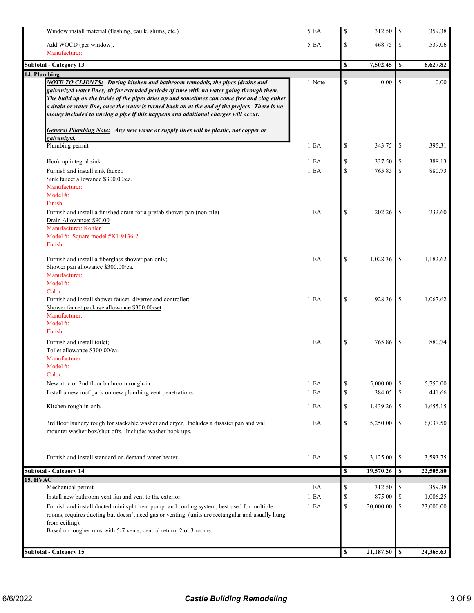| Window install material (flashing, caulk, shims, etc.)                                                                                                                                                                                                                                                                                                                                                                                                                                                                                                                  | 5 EA             | \$                 | $312.50$   \$    |               | 359.38    |
|-------------------------------------------------------------------------------------------------------------------------------------------------------------------------------------------------------------------------------------------------------------------------------------------------------------------------------------------------------------------------------------------------------------------------------------------------------------------------------------------------------------------------------------------------------------------------|------------------|--------------------|------------------|---------------|-----------|
| Add WOCD (per window).                                                                                                                                                                                                                                                                                                                                                                                                                                                                                                                                                  | 5 EA             | \$                 | 468.75           | \$            | 539.06    |
| Manufacturer:                                                                                                                                                                                                                                                                                                                                                                                                                                                                                                                                                           |                  |                    |                  |               |           |
| <b>Subtotal - Category 13</b>                                                                                                                                                                                                                                                                                                                                                                                                                                                                                                                                           |                  | \$                 | 7,502.45         | \$            | 8,627.82  |
| 14. Plumbing                                                                                                                                                                                                                                                                                                                                                                                                                                                                                                                                                            |                  |                    |                  |               |           |
| <b>NOTE TO CLIENTS:</b> During kitchen and bathroom remodels, the pipes (drains and<br>galvanized water lines) sit for extended periods of time with no water going through them.<br>The build up on the inside of the pipes dries up and sometimes can come free and clog either<br>a drain or water line, once the water is turned back on at the end of the project. There is no<br>money included to unclog a pipe if this happens and additional charges will occur.<br><b>General Plumbing Note:</b> Any new waste or supply lines will be plastic, not copper or | 1 Note           | \$                 | 0.00             | <sup>\$</sup> | 0.00      |
| galvanized.                                                                                                                                                                                                                                                                                                                                                                                                                                                                                                                                                             |                  |                    |                  |               |           |
| Plumbing permit                                                                                                                                                                                                                                                                                                                                                                                                                                                                                                                                                         | 1 E A            | \$                 | 343.75           | \$            | 395.31    |
| Hook up integral sink                                                                                                                                                                                                                                                                                                                                                                                                                                                                                                                                                   | 1 E A            | \$                 | 337.50           | \$            | 388.13    |
| Furnish and install sink faucet;                                                                                                                                                                                                                                                                                                                                                                                                                                                                                                                                        | 1 E <sub>A</sub> | \$                 | 765.85           | \$            | 880.73    |
| Sink faucet allowance \$300.00/ea.                                                                                                                                                                                                                                                                                                                                                                                                                                                                                                                                      |                  |                    |                  |               |           |
| Manufacturer:                                                                                                                                                                                                                                                                                                                                                                                                                                                                                                                                                           |                  |                    |                  |               |           |
| Model $#$ :                                                                                                                                                                                                                                                                                                                                                                                                                                                                                                                                                             |                  |                    |                  |               |           |
| Finish:                                                                                                                                                                                                                                                                                                                                                                                                                                                                                                                                                                 |                  |                    |                  |               |           |
| Furnish and install a finished drain for a prefab shower pan (non-tile)                                                                                                                                                                                                                                                                                                                                                                                                                                                                                                 | 1 E A            | \$                 | 202.26           | \$            | 232.60    |
| Drain Allowance: \$90.00                                                                                                                                                                                                                                                                                                                                                                                                                                                                                                                                                |                  |                    |                  |               |           |
| Manufacturer: Kohler<br>Model #: Square model #K1-9136-?                                                                                                                                                                                                                                                                                                                                                                                                                                                                                                                |                  |                    |                  |               |           |
| Finish:                                                                                                                                                                                                                                                                                                                                                                                                                                                                                                                                                                 |                  |                    |                  |               |           |
|                                                                                                                                                                                                                                                                                                                                                                                                                                                                                                                                                                         | 1 E A            | \$                 | 1,028.36         | \$            | 1,182.62  |
| Furnish and install a fiberglass shower pan only;<br>Shower pan allowance \$300.00/ea.                                                                                                                                                                                                                                                                                                                                                                                                                                                                                  |                  |                    |                  |               |           |
| Manufacturer:                                                                                                                                                                                                                                                                                                                                                                                                                                                                                                                                                           |                  |                    |                  |               |           |
| Model $#$ :                                                                                                                                                                                                                                                                                                                                                                                                                                                                                                                                                             |                  |                    |                  |               |           |
| Color:                                                                                                                                                                                                                                                                                                                                                                                                                                                                                                                                                                  |                  |                    |                  |               |           |
| Furnish and install shower faucet, diverter and controller;                                                                                                                                                                                                                                                                                                                                                                                                                                                                                                             | 1 E A            | \$                 | 928.36           | \$            | 1,067.62  |
| Shower faucet package allowance \$300.00/set                                                                                                                                                                                                                                                                                                                                                                                                                                                                                                                            |                  |                    |                  |               |           |
| Manufacturer:                                                                                                                                                                                                                                                                                                                                                                                                                                                                                                                                                           |                  |                    |                  |               |           |
| Model #:<br>Finish:                                                                                                                                                                                                                                                                                                                                                                                                                                                                                                                                                     |                  |                    |                  |               |           |
|                                                                                                                                                                                                                                                                                                                                                                                                                                                                                                                                                                         |                  |                    |                  |               |           |
| Furnish and install toilet;                                                                                                                                                                                                                                                                                                                                                                                                                                                                                                                                             | 1 E A            | \$                 | 765.86           | \$            | 880.74    |
| Toilet allowance \$300.00/ea.<br>Manufacturer:                                                                                                                                                                                                                                                                                                                                                                                                                                                                                                                          |                  |                    |                  |               |           |
| Model $#$ :                                                                                                                                                                                                                                                                                                                                                                                                                                                                                                                                                             |                  |                    |                  |               |           |
| Color:                                                                                                                                                                                                                                                                                                                                                                                                                                                                                                                                                                  |                  |                    |                  |               |           |
| New attic or 2nd floor bathroom rough-in                                                                                                                                                                                                                                                                                                                                                                                                                                                                                                                                | 1 E A            | \$                 | 5,000.00         | \$            | 5,750.00  |
| Install a new roof jack on new plumbing vent penetrations.                                                                                                                                                                                                                                                                                                                                                                                                                                                                                                              | 1 E A            | \$                 | 384.05           | \$            | 441.66    |
|                                                                                                                                                                                                                                                                                                                                                                                                                                                                                                                                                                         |                  |                    |                  |               |           |
| Kitchen rough in only.                                                                                                                                                                                                                                                                                                                                                                                                                                                                                                                                                  | 1 E A            | \$                 | 1,439.26         | \$            | 1,655.15  |
| 3rd floor laundry rough for stackable washer and dryer. Includes a disaster pan and wall<br>mounter washer box/shut-offs. Includes washer hook ups.                                                                                                                                                                                                                                                                                                                                                                                                                     | 1 E A            | \$                 | 5,250.00         | \$            | 6,037.50  |
|                                                                                                                                                                                                                                                                                                                                                                                                                                                                                                                                                                         |                  |                    |                  |               |           |
| Furnish and install standard on-demand water heater                                                                                                                                                                                                                                                                                                                                                                                                                                                                                                                     | 1 E A            | \$                 | 3,125.00         | \$            | 3,593.75  |
| <b>Subtotal - Category 14</b>                                                                                                                                                                                                                                                                                                                                                                                                                                                                                                                                           |                  | \$                 | 19,570.26        | \$            | 22,505.80 |
| <b>15. HVAC</b>                                                                                                                                                                                                                                                                                                                                                                                                                                                                                                                                                         |                  |                    |                  |               |           |
| Mechanical permit                                                                                                                                                                                                                                                                                                                                                                                                                                                                                                                                                       | 1 E A            | \$                 | 312.50           | \$            | 359.38    |
| Install new bathroom vent fan and vent to the exterior.                                                                                                                                                                                                                                                                                                                                                                                                                                                                                                                 | 1 E A            | \$                 | 875.00           | \$            | 1,006.25  |
| Furnish and install ducted mini split heat pump and cooling system, best used for multiple                                                                                                                                                                                                                                                                                                                                                                                                                                                                              | 1 E A            | \$                 | 20,000.00        | \$            | 23,000.00 |
| rooms, requires ducting but doesn't need gas or venting. (units are rectangular and usually hung                                                                                                                                                                                                                                                                                                                                                                                                                                                                        |                  |                    |                  |               |           |
| from ceiling).                                                                                                                                                                                                                                                                                                                                                                                                                                                                                                                                                          |                  |                    |                  |               |           |
| Based on tougher runs with 5-7 vents, central return, 2 or 3 rooms.                                                                                                                                                                                                                                                                                                                                                                                                                                                                                                     |                  |                    |                  |               |           |
|                                                                                                                                                                                                                                                                                                                                                                                                                                                                                                                                                                         |                  |                    |                  |               |           |
| <b>Subtotal - Category 15</b>                                                                                                                                                                                                                                                                                                                                                                                                                                                                                                                                           |                  | $\pmb{\mathbb{S}}$ | $21,187.50$   \$ |               | 24,365.63 |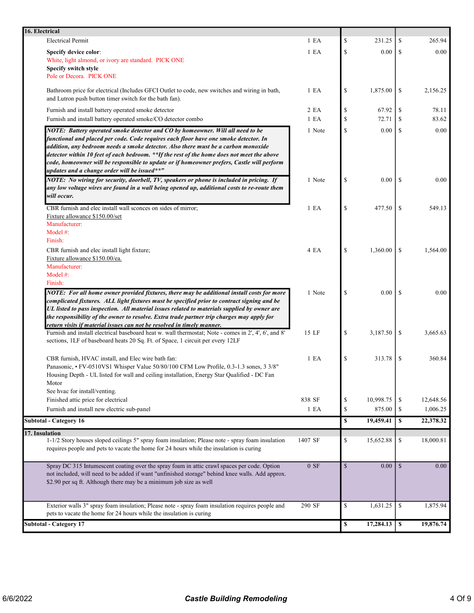| 16. Electrical                                                                                                                                                                                                                                                                                                                                                                                                                                                                                           |         |              |           |               |           |
|----------------------------------------------------------------------------------------------------------------------------------------------------------------------------------------------------------------------------------------------------------------------------------------------------------------------------------------------------------------------------------------------------------------------------------------------------------------------------------------------------------|---------|--------------|-----------|---------------|-----------|
| <b>Electrical Permit</b>                                                                                                                                                                                                                                                                                                                                                                                                                                                                                 | 1 E A   | \$           | 231.25    | \$            | 265.94    |
| <b>Specify device color:</b><br>White, light almond, or ivory are standard. PICK ONE                                                                                                                                                                                                                                                                                                                                                                                                                     | 1 E A   | \$           | 0.00      | \$            | 0.00      |
| Specify switch style<br>Pole or Decora. PICK ONE                                                                                                                                                                                                                                                                                                                                                                                                                                                         |         |              |           |               |           |
| Bathroom price for electrical (Includes GFCI Outlet to code, new switches and wiring in bath,<br>and Lutron push button timer switch for the bath fan).                                                                                                                                                                                                                                                                                                                                                  | 1 E A   | \$           | 1,875.00  | \$            | 2,156.25  |
| Furnish and install battery operated smoke detector                                                                                                                                                                                                                                                                                                                                                                                                                                                      | 2 EA    | \$           | 67.92     | \$            | 78.11     |
| Furnish and install battery operated smoke/CO detector combo                                                                                                                                                                                                                                                                                                                                                                                                                                             | 1 E A   | \$           | 72.71     | \$            | 83.62     |
| NOTE: Battery operated smoke detector and CO by homeowner. Will all need to be<br>functional and placed per code. Code requires each floor have one smoke detector. In<br>addition, any bedroom needs a smoke detector. Also there must be a carbon monoxide<br>detector within 10 feet of each bedroom. **If the rest of the home does not meet the above<br>code, homeowner will be responsible to update or if homeowner prefers, Castle will perform<br>updates and a change order will be issued**" | 1 Note  | \$           | 0.00      | \$            | 0.00      |
| NOTE: No wiring for security, doorbell, TV, speakers or phone is included in pricing. If<br>any low voltage wires are found in a wall being opened up, additional costs to re-route them<br>will occur.                                                                                                                                                                                                                                                                                                  | 1 Note  | \$           | $0.00\,$  | <sup>\$</sup> | 0.00      |
| CBR furnish and elec install wall sconces on sides of mirror;<br>Fixture allowance \$150.00/set<br>Manufacturer:<br>Model $#$ :                                                                                                                                                                                                                                                                                                                                                                          | 1 E A   | \$           | 477.50    | <sup>\$</sup> | 549.13    |
| Finish:<br>CBR furnish and elec install light fixture;<br>Fixture allowance \$150.00/ea.<br>Manufacturer:                                                                                                                                                                                                                                                                                                                                                                                                | 4 EA    | \$           | 1,360.00  | -S            | 1,564.00  |
| Model #:<br>Finish:<br>NOTE: For all home owner provided fixtures, there may be additional install costs for more                                                                                                                                                                                                                                                                                                                                                                                        | 1 Note  | \$           | 0.00      | -S            | 0.00      |
| complicated fixtures. ALL light fixtures must be specified prior to contract signing and be<br>UL listed to pass inspection. All material issues related to materials supplied by owner are<br>the responsibility of the owner to resolve. Extra trade partner trip charges may apply for<br>return visits if material issues can not be resolved in timely manner.<br>Furnish and install electrical baseboard heat w. wall thermostat; Note - comes in 2', 4', 6', and 8'                              | 15 LF   | \$           | 3,187.50  | \$            | 3,665.63  |
| sections, 1LF of baseboard heats 20 Sq. Ft. of Space, 1 circuit per every 12LF                                                                                                                                                                                                                                                                                                                                                                                                                           |         |              |           |               |           |
| CBR furnish, HVAC install, and Elec wire bath fan:<br>Panasonic, • FV-0510VS1 Whisper Value 50/80/100 CFM Low Profile, 0.3-1.3 sones, 3 3/8"<br>Housing Depth - UL listed for wall and ceiling installation, Energy Star Qualified - DC Fan<br>Motor<br>See hvac for install/venting.                                                                                                                                                                                                                    | 1 E A   | \$           | 313.78    | \$            | 360.84    |
| Finished attic price for electrical                                                                                                                                                                                                                                                                                                                                                                                                                                                                      | 838 SF  | \$           | 10,998.75 | \$            | 12,648.56 |
| Furnish and install new electric sub-panel                                                                                                                                                                                                                                                                                                                                                                                                                                                               | 1 E A   | \$           | 875.00    | \$            | 1,006.25  |
| <b>Subtotal - Category 16</b>                                                                                                                                                                                                                                                                                                                                                                                                                                                                            |         | \$           | 19,459.41 | \$            | 22,378.32 |
| 17. Insulation                                                                                                                                                                                                                                                                                                                                                                                                                                                                                           |         |              |           |               |           |
| 1-1/2 Story houses sloped ceilings 5" spray foam insulation; Please note - spray foam insulation<br>requires people and pets to vacate the home for 24 hours while the insulation is curing                                                                                                                                                                                                                                                                                                              | 1407 SF | \$           | 15,652.88 | \$            | 18,000.81 |
| Spray DC 315 Intumescent coating over the spray foam in attic crawl spaces per code. Option<br>not included, will need to be added if want "unfinished storage" behind knee walls. Add approx.<br>\$2.90 per sq ft. Although there may be a minimum job size as well                                                                                                                                                                                                                                     | 0 SF    | $\mathbb{S}$ | 0.00      | $\mathbb{S}$  | 0.00      |
| Exterior walls 3" spray foam insulation; Please note - spray foam insulation requires people and<br>pets to vacate the home for 24 hours while the insulation is curing                                                                                                                                                                                                                                                                                                                                  | 290 SF  | \$           | 1,631.25  | \$            | 1,875.94  |
| <b>Subtotal - Category 17</b>                                                                                                                                                                                                                                                                                                                                                                                                                                                                            |         | \$           | 17,284.13 | $\mathbf s$   | 19,876.74 |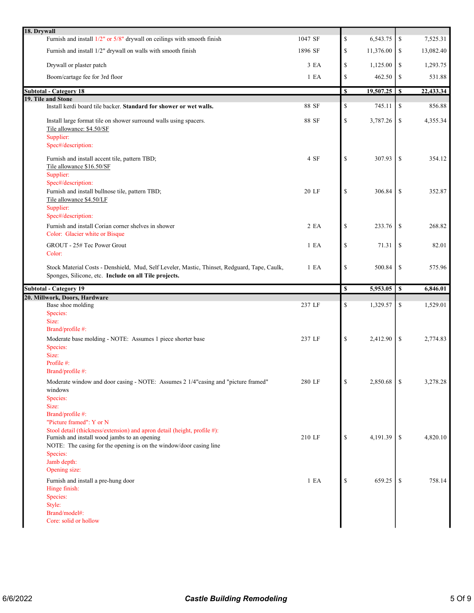| 18. Drywall |                                                                                                                                                                                                |         |                                                                       |           |            |           |
|-------------|------------------------------------------------------------------------------------------------------------------------------------------------------------------------------------------------|---------|-----------------------------------------------------------------------|-----------|------------|-----------|
|             | Furnish and install 1/2" or 5/8" drywall on ceilings with smooth finish                                                                                                                        | 1047 SF | $\mathbb{S}% _{t}\left( t\right) \equiv\mathbb{S}_{t}\left( t\right)$ | 6,543.75  | \$         | 7,525.31  |
|             | Furnish and install 1/2" drywall on walls with smooth finish                                                                                                                                   | 1896 SF | $\mathbb{S}% _{t}\left( t\right) \equiv\mathbb{S}_{t}\left( t\right)$ | 11,376.00 | \$         | 13,082.40 |
|             | Drywall or plaster patch                                                                                                                                                                       | 3EA     | $\mathcal{S}$                                                         | 1,125.00  | \$         | 1,293.75  |
|             | Boom/cartage fee for 3rd floor                                                                                                                                                                 | 1 E A   | $\mathbb{S}% _{t}\left( t\right) \equiv\mathbb{S}_{t}\left( t\right)$ | 462.50    | \$         | 531.88    |
|             | <b>Subtotal - Category 18</b>                                                                                                                                                                  |         | \$                                                                    |           |            | 22,433.34 |
|             | 19. Tile and Stone                                                                                                                                                                             |         |                                                                       |           |            |           |
|             | Install kerdi board tile backer. Standard for shower or wet walls.                                                                                                                             | 88 SF   | \$                                                                    | 745.11    | \$         | 856.88    |
|             | Install large format tile on shower surround walls using spacers.<br>Tile allowance: \$4.50/SF                                                                                                 | 88 SF   | $\mathbb{S}$                                                          | 3,787.26  | \$         | 4,355.34  |
|             | Supplier:<br>Spec#/description:                                                                                                                                                                |         |                                                                       |           |            |           |
|             | Furnish and install accent tile, pattern TBD;<br>Tile allowance \$16.50/SF<br>Supplier:                                                                                                        | 4 SF    | $\mathcal{S}$                                                         | 307.93    | \$         | 354.12    |
|             | Spec#/description:<br>Furnish and install bullnose tile, pattern TBD;<br>Tile allowance \$4.50/LF<br>Supplier:                                                                                 | 20 LF   | $\mathcal{S}$                                                         | 306.84    | \$         | 352.87    |
|             | Spec#/description:<br>Furnish and install Corian corner shelves in shower                                                                                                                      | 2 EA    | $\mathbb{S}$                                                          | 233.76    | \$         | 268.82    |
|             | Color: Glacier white or Bisque<br>GROUT - 25# Tec Power Grout                                                                                                                                  | 1 E A   | $\mathbb{S}$                                                          | 71.31     | \$         | 82.01     |
|             | Color:                                                                                                                                                                                         |         |                                                                       |           |            |           |
|             | Stock Material Costs - Denshield, Mud, Self Leveler, Mastic, Thinset, Redguard, Tape, Caulk,<br>Sponges, Silicone, etc. Include on all Tile projects.                                          | 1 E A   | $\mathbb{S}$                                                          | 500.84    | \$         | 575.96    |
|             |                                                                                                                                                                                                |         |                                                                       |           |            |           |
|             | <b>Subtotal - Category 19</b>                                                                                                                                                                  |         | \$                                                                    | 5,953.05  | $\sqrt{s}$ | 6,846.01  |
|             | 20. Millwork, Doors, Hardware                                                                                                                                                                  |         |                                                                       |           |            |           |
|             | Base shoe molding                                                                                                                                                                              | 237 LF  | \$                                                                    | 1,329.57  | \$         | 1,529.01  |
|             | Species:<br>Size:                                                                                                                                                                              |         |                                                                       |           |            |           |
|             | Brand/profile #:                                                                                                                                                                               |         |                                                                       |           |            |           |
|             | Moderate base molding - NOTE: Assumes 1 piece shorter base<br>Species:<br>Size:                                                                                                                | 237 LF  | $\mathcal{S}$                                                         | 2,412.90  | \$         | 2,774.83  |
|             | Profile #:<br>Brand/profile #:                                                                                                                                                                 |         |                                                                       |           |            |           |
|             | Moderate window and door casing - NOTE: Assumes 2 1/4"casing and "picture framed"<br>windows<br>Species:                                                                                       | 280 LF  | \$                                                                    | 2,850.68  | \$         | 3,278.28  |
|             | Size:<br>Brand/profile #:<br>"Picture framed": Y or N                                                                                                                                          |         |                                                                       |           |            |           |
|             | Stool detail (thickness/extension) and apron detail (height, profile #):<br>Furnish and install wood jambs to an opening<br>NOTE: The casing for the opening is on the window/door casing line | 210 LF  | $\mathcal{S}$                                                         | 4,191.39  | \$         | 4,820.10  |
|             | Species:<br>Jamb depth:<br>Opening size:                                                                                                                                                       |         |                                                                       |           |            |           |
|             | Furnish and install a pre-hung door<br>Hinge finish:<br>Species:<br>Style:<br>Brand/model#:                                                                                                    | 1 E A   | \$                                                                    | 659.25    | \$         | 758.14    |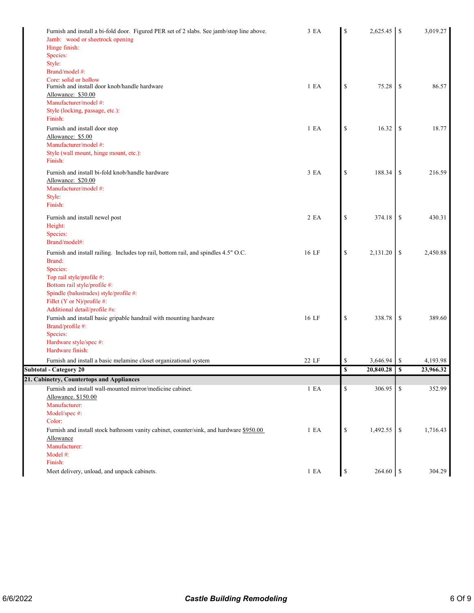| Furnish and install a bi-fold door. Figured PER set of 2 slabs. See jamb/stop line above.<br>Jamb: wood or sheetrock opening | 3 EA  | \$           | 2,625.45 | <sup>\$</sup> | 3,019.27  |
|------------------------------------------------------------------------------------------------------------------------------|-------|--------------|----------|---------------|-----------|
| Hinge finish:                                                                                                                |       |              |          |               |           |
| Species:                                                                                                                     |       |              |          |               |           |
| Style:                                                                                                                       |       |              |          |               |           |
| Brand/model #:                                                                                                               |       |              |          |               |           |
| Core: solid or hollow                                                                                                        |       |              |          |               |           |
| Furnish and install door knob/handle hardware                                                                                | 1 E A | \$           | 75.28    | \$            | 86.57     |
| Allowance: \$30.00                                                                                                           |       |              |          |               |           |
| Manufacturer/model #:                                                                                                        |       |              |          |               |           |
| Style (locking, passage, etc.):                                                                                              |       |              |          |               |           |
| Finish:                                                                                                                      |       |              |          |               |           |
| Furnish and install door stop                                                                                                | 1 E A | $\mathbb{S}$ | 16.32    | \$            | 18.77     |
| Allowance: \$5.00                                                                                                            |       |              |          |               |           |
| Manufacturer/model #:                                                                                                        |       |              |          |               |           |
| Style (wall mount, hinge mount, etc.):                                                                                       |       |              |          |               |           |
| Finish:                                                                                                                      |       |              |          |               |           |
| Furnish and install bi-fold knob/handle hardware                                                                             | 3 EA  | $\mathbb{S}$ | 188.34   | \$            | 216.59    |
| Allowance: \$20.00                                                                                                           |       |              |          |               |           |
| Manufacturer/model #:                                                                                                        |       |              |          |               |           |
| Style:                                                                                                                       |       |              |          |               |           |
| Finish:                                                                                                                      |       |              |          |               |           |
| Furnish and install newel post                                                                                               | 2 EA  | $\mathbb{S}$ | 374.18   | \$            | 430.31    |
| Height:                                                                                                                      |       |              |          |               |           |
| Species:                                                                                                                     |       |              |          |               |           |
| Brand/model#:                                                                                                                |       |              |          |               |           |
|                                                                                                                              |       |              |          |               |           |
| Furnish and install railing. Includes top rail, bottom rail, and spindles 4.5" O.C.                                          | 16 LF | $\mathbb{S}$ | 2,131.20 | \$            | 2,450.88  |
| Brand:                                                                                                                       |       |              |          |               |           |
| Species:                                                                                                                     |       |              |          |               |           |
| Top rail style/profile #:                                                                                                    |       |              |          |               |           |
| Bottom rail style/profile #:                                                                                                 |       |              |          |               |           |
| Spindle (balustrades) style/profile #:                                                                                       |       |              |          |               |           |
| Fillet (Y or N)/profile #:                                                                                                   |       |              |          |               |           |
| Additional detail/profile #s:                                                                                                |       |              |          |               |           |
| Furnish and install basic gripable handrail with mounting hardware                                                           | 16 LF | $\mathbb{S}$ | 338.78   | <sup>\$</sup> | 389.60    |
| Brand/profile #:<br>Species:                                                                                                 |       |              |          |               |           |
| Hardware style/spec #:                                                                                                       |       |              |          |               |           |
| Hardware finish:                                                                                                             |       |              |          |               |           |
|                                                                                                                              |       |              |          |               |           |
| Furnish and install a basic melamine closet organizational system                                                            | 22 LF | \$           | 3,646.94 | \$            | 4,193.98  |
| Subtotal - Category 20                                                                                                       |       | $\mathbf S$  |          |               | 23,966.32 |
| 21. Cabinetry, Countertops and Appliances                                                                                    |       |              |          |               |           |
| Furnish and install wall-mounted mirror/medicine cabinet.                                                                    | 1 E A | \$           | 306.95   | \$            | 352.99    |
| Allowance. \$150.00                                                                                                          |       |              |          |               |           |
| Manufacturer:                                                                                                                |       |              |          |               |           |
| Model/spec #:                                                                                                                |       |              |          |               |           |
| Color:                                                                                                                       |       |              |          |               |           |
| Furnish and install stock bathroom vanity cabinet, counter/sink, and hardware \$950.00                                       | 1 E A | \$           | 1,492.55 | -S            | 1,716.43  |
| Allowance                                                                                                                    |       |              |          |               |           |
| Manufacturer:                                                                                                                |       |              |          |               |           |
| Model #:                                                                                                                     |       |              |          |               |           |
| Finish:                                                                                                                      |       |              |          |               |           |
| Meet delivery, unload, and unpack cabinets.                                                                                  | 1 E A | \$           | 264.60   | $\sqrt{S}$    | 304.29    |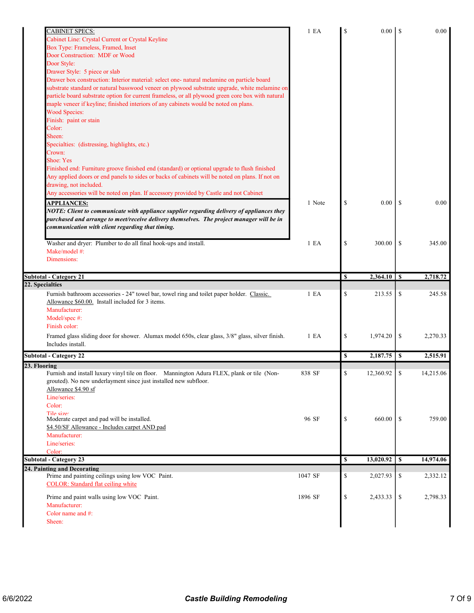| CABINET SPECS:                                                                                                            | 1 E A   | S            |           |               | 0.00      |
|---------------------------------------------------------------------------------------------------------------------------|---------|--------------|-----------|---------------|-----------|
| Cabinet Line: Crystal Current or Crystal Keyline                                                                          |         |              |           |               |           |
| Box Type: Frameless, Framed, Inset                                                                                        |         |              |           |               |           |
| Door Construction: MDF or Wood                                                                                            |         |              |           |               |           |
| Door Style:                                                                                                               |         |              |           |               |           |
| Drawer Style: 5 piece or slab                                                                                             |         |              |           |               |           |
| Drawer box construction: Interior material: select one- natural melamine on particle board                                |         |              |           |               |           |
| substrate standard or natural basswood veneer on plywood substrate upgrade, white melamine on                             |         |              |           |               |           |
| particle board substrate option for current frameless, or all plywood green core box with natural                         |         |              |           |               |           |
| maple veneer if keyline; finished interiors of any cabinets would be noted on plans.                                      |         |              |           |               |           |
| <b>Wood Species:</b>                                                                                                      |         |              |           |               |           |
| Finish: paint or stain                                                                                                    |         |              |           |               |           |
| Color:                                                                                                                    |         |              |           |               |           |
| Sheen:                                                                                                                    |         |              |           |               |           |
| Specialties: (distressing, highlights, etc.)                                                                              |         |              |           |               |           |
| Crown:                                                                                                                    |         |              |           |               |           |
| <b>Shoe: Yes</b>                                                                                                          |         |              |           |               |           |
| Finished end: Furniture groove finished end (standard) or optional upgrade to flush finished                              |         |              |           |               |           |
| Any applied doors or end panels to sides or backs of cabinets will be noted on plans. If not on<br>drawing, not included. |         |              |           |               |           |
| Any accessories will be noted on plan. If accessory provided by Castle and not Cabinet                                    |         |              |           |               |           |
|                                                                                                                           |         |              |           |               |           |
| <b>APPLIANCES:</b>                                                                                                        | 1 Note  | \$           | 0.00      | <sup>\$</sup> | 0.00      |
| NOTE: Client to communicate with appliance supplier regarding delivery of appliances they                                 |         |              |           |               |           |
| purchased and arrange to meet/receive delivery themselves. The project manager will be in                                 |         |              |           |               |           |
| communication with client regarding that timing.                                                                          |         |              |           |               |           |
| Washer and dryer: Plumber to do all final hook-ups and install.                                                           | 1 E A   | \$           | 300.00    | \$            | 345.00    |
| Make/model #:                                                                                                             |         |              |           |               |           |
| Dimensions:                                                                                                               |         |              |           |               |           |
|                                                                                                                           |         |              |           |               |           |
| <b>Subtotal - Category 21</b>                                                                                             |         | $\mathbf{s}$ |           |               | 2,718.72  |
| 22. Specialties                                                                                                           |         |              |           |               |           |
| Furnish bathroom accessories - 24" towel bar, towel ring and toilet paper holder. Classic.                                | 1 E A   | \$           | 213.55    | \$            | 245.58    |
| Allowance \$60.00. Install included for 3 items.                                                                          |         |              |           |               |           |
| Manufacturer:                                                                                                             |         |              |           |               |           |
| Model/spec #:                                                                                                             |         |              |           |               |           |
| Finish color:                                                                                                             |         |              |           |               |           |
| Framed glass sliding door for shower. Alumax model 650s, clear glass, 3/8" glass, silver finish.                          | 1 E A   | \$           | 1,974.20  | \$            | 2,270.33  |
| Includes install.                                                                                                         |         |              |           |               |           |
| <b>Subtotal - Category 22</b>                                                                                             |         | \$           | 2,187.75  | S             | 2,515.91  |
| 23. Flooring                                                                                                              |         |              |           |               |           |
| Furnish and install luxury vinyl tile on floor. Mannington Adura FLEX, plank or tile (Non-                                | 838 SF  |              | 12,360.92 |               | 14,215.06 |
| grouted). No new underlayment since just installed new subfloor.                                                          |         |              |           |               |           |
| Allowance \$4.90 sf                                                                                                       |         |              |           |               |           |
| Line/series:                                                                                                              |         |              |           |               |           |
| Color:                                                                                                                    |         |              |           |               |           |
| Tile size:                                                                                                                |         |              |           |               |           |
|                                                                                                                           |         |              |           |               |           |
| Moderate carpet and pad will be installed.                                                                                | 96 SF   | \$           | 660.00    | \$            | 759.00    |
| \$4.50/SF Allowance - Includes carpet AND pad                                                                             |         |              |           |               |           |
| Manufacturer:                                                                                                             |         |              |           |               |           |
| Line/series:                                                                                                              |         |              |           |               |           |
| Color:                                                                                                                    |         |              |           |               |           |
|                                                                                                                           |         | S            | 13,020.92 | S             | 14,974.06 |
|                                                                                                                           |         |              |           |               |           |
| Prime and painting ceilings using low VOC Paint.<br>COLOR: Standard flat ceiling white                                    | 1047 SF | \$           | 2,027.93  | \$            | 2,332.12  |
| Prime and paint walls using low VOC Paint.                                                                                | 1896 SF | \$           | 2,433.33  | \$            | 2,798.33  |
| Manufacturer:                                                                                                             |         |              |           |               |           |
| Color name and $#$ :                                                                                                      |         |              |           |               |           |
| <b>Subtotal - Category 23</b><br>24. Painting and Decorating<br>Sheen:                                                    |         |              |           |               |           |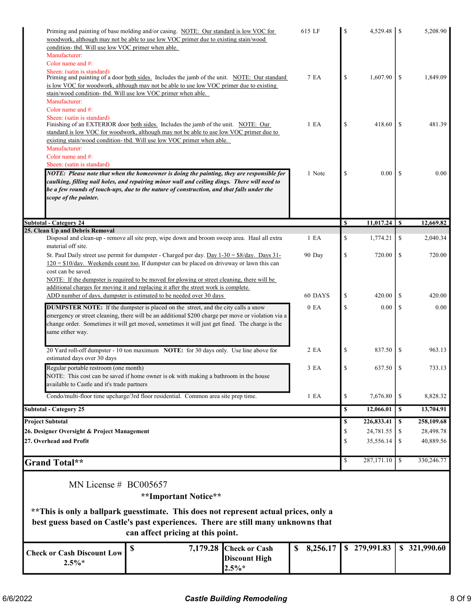| Priming and painting of base molding and/or casing. NOTE: Our standard is low VOC for<br>woodwork, although may not be able to use low VOC primer due to existing stain/wood<br>condition- tbd. Will use low VOC primer when able.                                                                              |                                  | 615 LF           | \$<br>4,529.48   | -S            | 5,208.90     |
|-----------------------------------------------------------------------------------------------------------------------------------------------------------------------------------------------------------------------------------------------------------------------------------------------------------------|----------------------------------|------------------|------------------|---------------|--------------|
| Manufacturer:                                                                                                                                                                                                                                                                                                   |                                  |                  |                  |               |              |
| Color name and #:                                                                                                                                                                                                                                                                                               |                                  |                  |                  |               |              |
| Sheen: (satin is standard)<br>Priming and painting of a door both sides. Includes the jamb of the unit. NOTE: Our standard<br>is low VOC for woodwork, although may not be able to use low VOC primer due to existing<br>stain/wood condition- tbd. Will use low VOC primer when able.                          |                                  | 7 EA             | \$<br>1,607.90   | <sup>\$</sup> | 1,849.09     |
| Manufacturer:                                                                                                                                                                                                                                                                                                   |                                  |                  |                  |               |              |
| Color name and #:                                                                                                                                                                                                                                                                                               |                                  |                  |                  |               |              |
| Sheen: (satin is standard)<br>Finishing of an EXTERIOR door both sides. Includes the jamb of the unit. NOTE: Our<br>standard is low VOC for woodwork, although may not be able to use low VOC primer due to                                                                                                     |                                  | 1 E A            | \$<br>418.60     | <sup>\$</sup> | 481.39       |
| existing stain/wood condition- tbd. Will use low VOC primer when able.<br>Manufacturer:                                                                                                                                                                                                                         |                                  |                  |                  |               |              |
| Color name and #:                                                                                                                                                                                                                                                                                               |                                  |                  |                  |               |              |
| Sheen: (satin is standard)                                                                                                                                                                                                                                                                                      |                                  |                  |                  |               |              |
| NOTE: Please note that when the homeowner is doing the painting, they are responsible for<br>caulking, filling nail holes, and repairing minor wall and ceiling dings. There will need to<br>be a few rounds of touch-ups, due to the nature of construction, and that falls under the<br>scope of the painter. |                                  | 1 Note           | \$<br>0.00       | <sup>\$</sup> | 0.00         |
| <b>Subtotal - Category 24</b>                                                                                                                                                                                                                                                                                   |                                  |                  | \$               |               | 12,669.82    |
| 25. Clean Up and Debris Removal                                                                                                                                                                                                                                                                                 |                                  |                  |                  |               |              |
| Disposal and clean-up - remove all site prep, wipe down and broom sweep area. Haul all extra<br>material off site.                                                                                                                                                                                              |                                  | 1 E <sub>A</sub> | \$<br>1,774.21   | \$            | 2,040.34     |
| St. Paul Daily street use permit for dumpster - Charged per day. Day $1-30 = $8/\text{day}$ . Days $31-$<br>$120 = $10$ /day. Weekends count too. If dumpster can be placed on driveway or lawn this can<br>cost can be saved.                                                                                  |                                  | 90 Day           | \$<br>720.00     | \$            | 720.00       |
| NOTE: If the dumpster is required to be moved for plowing or street cleaning, there will be                                                                                                                                                                                                                     |                                  |                  |                  |               |              |
| additional charges for moving it and replacing it after the street work is complete.                                                                                                                                                                                                                            |                                  |                  |                  |               |              |
| ADD number of days, dumpster is estimated to be needed over 30 days                                                                                                                                                                                                                                             |                                  | 60 DAYS          | \$<br>420.00     | <sup>\$</sup> | 420.00       |
| DUMPSTER NOTE: If the dumpster is placed on the street, and the city calls a snow<br>emergency or street cleaning, there will be an additional \$200 charge per move or violation via a<br>change order. Sometimes it will get moved, sometimes it will just get fined. The charge is the<br>same either way.   |                                  | 0 E <sub>A</sub> | \$<br>0.00       | <sup>\$</sup> | 0.00         |
| 20 Yard roll-off dumpster - 10 ton maximum NOTE: for 30 days only. Use line above for<br>estimated days over 30 days                                                                                                                                                                                            |                                  | 2 EA             | \$<br>837.50     | \$            | 963.13       |
| Regular portable restroom (one month)<br>NOTE: This cost can be saved if home owner is ok with making a bathroom in the house<br>available to Castle and it's trade partners                                                                                                                                    |                                  | 3 EA             | \$<br>637.50     | \$            | 733.13       |
| Condo/multi-floor time upcharge/3rd floor residential. Common area site prep time.                                                                                                                                                                                                                              |                                  | 1 E A            | \$<br>7,676.80   | \$            | 8,828.32     |
| <b>Subtotal - Category 25</b>                                                                                                                                                                                                                                                                                   |                                  |                  | \$<br>12,066.01  | \$            | 13,704.91    |
| <b>Project Subtotal</b>                                                                                                                                                                                                                                                                                         |                                  |                  | \$<br>226,833.41 | \$            | 258,109.68   |
| 26. Designer Oversight & Project Management                                                                                                                                                                                                                                                                     |                                  |                  | \$<br>24,781.55  | S             | 28,498.78    |
| 27. Overhead and Profit                                                                                                                                                                                                                                                                                         |                                  |                  | \$<br>35,556.14  | S             | 40,889.56    |
| <b>Grand Total**</b>                                                                                                                                                                                                                                                                                            |                                  |                  | \$<br>287,171.10 | S             | 330,246.77   |
| MN License $# \text{ BCO}05657$<br>**Important Notice**                                                                                                                                                                                                                                                         |                                  |                  |                  |               |              |
|                                                                                                                                                                                                                                                                                                                 |                                  |                  |                  |               |              |
| **This is only a ballpark guesstimate. This does not represent actual prices, only a                                                                                                                                                                                                                            |                                  |                  |                  |               |              |
| best guess based on Castle's past experiences. There are still many unknowns that<br>can affect pricing at this point.                                                                                                                                                                                          |                                  |                  |                  |               |              |
| \$                                                                                                                                                                                                                                                                                                              | 7,179.28<br><b>Check or Cash</b> | 8,256.17<br>\$   | \$279,991.83     |               | \$321,990.60 |
| <b>Check or Cash Discount Low</b><br>$2.5\%*$                                                                                                                                                                                                                                                                   | <b>Discount High</b><br>$2.5\%*$ |                  |                  |               |              |